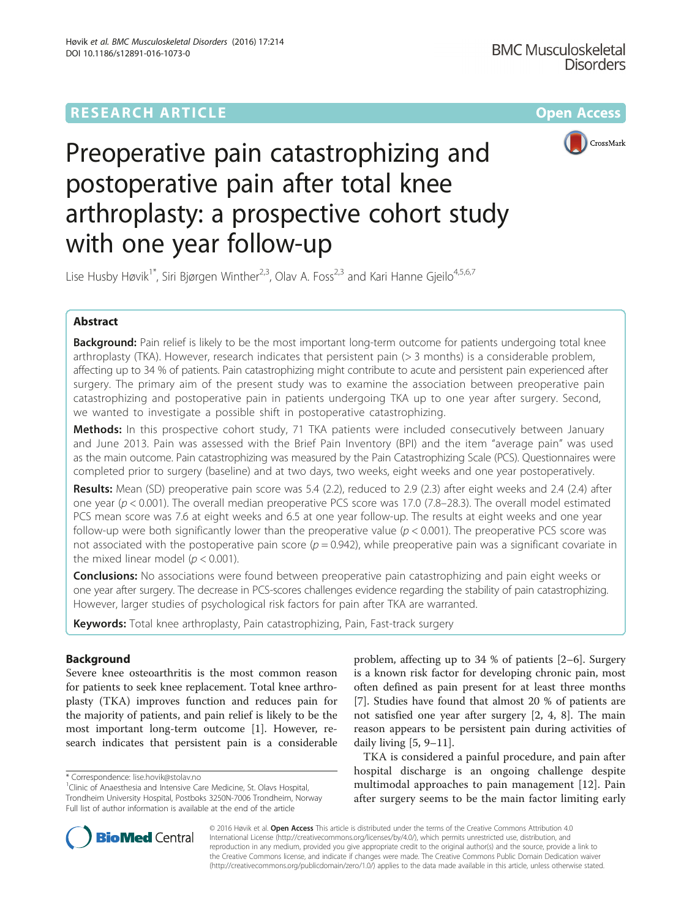**BMC Musculoskeletal** 



**Disorders** 

# Preoperative pain catastrophizing and postoperative pain after total knee arthroplasty: a prospective cohort study with one year follow-up

Lise Husby Høvik<sup>1\*</sup>, Siri Bjørgen Winther<sup>2,3</sup>, Olav A. Foss<sup>2,3</sup> and Kari Hanne Gjeilo<sup>4,5,6,7</sup>

# Abstract

Background: Pain relief is likely to be the most important long-term outcome for patients undergoing total knee arthroplasty (TKA). However, research indicates that persistent pain (> 3 months) is a considerable problem, affecting up to 34 % of patients. Pain catastrophizing might contribute to acute and persistent pain experienced after surgery. The primary aim of the present study was to examine the association between preoperative pain catastrophizing and postoperative pain in patients undergoing TKA up to one year after surgery. Second, we wanted to investigate a possible shift in postoperative catastrophizing.

Methods: In this prospective cohort study, 71 TKA patients were included consecutively between January and June 2013. Pain was assessed with the Brief Pain Inventory (BPI) and the item "average pain" was used as the main outcome. Pain catastrophizing was measured by the Pain Catastrophizing Scale (PCS). Questionnaires were completed prior to surgery (baseline) and at two days, two weeks, eight weeks and one year postoperatively.

Results: Mean (SD) preoperative pain score was 5.4 (2.2), reduced to 2.9 (2.3) after eight weeks and 2.4 (2.4) after one year ( $p < 0.001$ ). The overall median preoperative PCS score was 17.0 (7.8–28.3). The overall model estimated PCS mean score was 7.6 at eight weeks and 6.5 at one year follow-up. The results at eight weeks and one year follow-up were both significantly lower than the preoperative value ( $p < 0.001$ ). The preoperative PCS score was not associated with the postoperative pain score  $(p = 0.942)$ , while preoperative pain was a significant covariate in the mixed linear model ( $p < 0.001$ ).

**Conclusions:** No associations were found between preoperative pain catastrophizing and pain eight weeks or one year after surgery. The decrease in PCS-scores challenges evidence regarding the stability of pain catastrophizing. However, larger studies of psychological risk factors for pain after TKA are warranted.

Keywords: Total knee arthroplasty, Pain catastrophizing, Pain, Fast-track surgery

# Background

Severe knee osteoarthritis is the most common reason for patients to seek knee replacement. Total knee arthroplasty (TKA) improves function and reduces pain for the majority of patients, and pain relief is likely to be the most important long-term outcome [[1\]](#page-5-0). However, research indicates that persistent pain is a considerable problem, affecting up to 34 % of patients [[2](#page-5-0)–[6\]](#page-5-0). Surgery is a known risk factor for developing chronic pain, most often defined as pain present for at least three months [[7\]](#page-5-0). Studies have found that almost 20 % of patients are not satisfied one year after surgery [\[2](#page-5-0), [4, 8\]](#page-5-0). The main reason appears to be persistent pain during activities of daily living  $[5, 9-11]$  $[5, 9-11]$  $[5, 9-11]$  $[5, 9-11]$  $[5, 9-11]$ .

TKA is considered a painful procedure, and pain after hospital discharge is an ongoing challenge despite multimodal approaches to pain management [\[12](#page-5-0)]. Pain after surgery seems to be the main factor limiting early



© 2016 Høvik et al. Open Access This article is distributed under the terms of the Creative Commons Attribution 4.0 International License [\(http://creativecommons.org/licenses/by/4.0/](http://creativecommons.org/licenses/by/4.0/)), which permits unrestricted use, distribution, and reproduction in any medium, provided you give appropriate credit to the original author(s) and the source, provide a link to the Creative Commons license, and indicate if changes were made. The Creative Commons Public Domain Dedication waiver [\(http://creativecommons.org/publicdomain/zero/1.0/](http://creativecommons.org/publicdomain/zero/1.0/)) applies to the data made available in this article, unless otherwise stated.

<sup>\*</sup> Correspondence: [lise.hovik@stolav.no](mailto:lise.hovik@stolav.no) <sup>1</sup>

<sup>&</sup>lt;sup>1</sup>Clinic of Anaesthesia and Intensive Care Medicine, St. Olavs Hospital, Trondheim University Hospital, Postboks 3250N-7006 Trondheim, Norway Full list of author information is available at the end of the article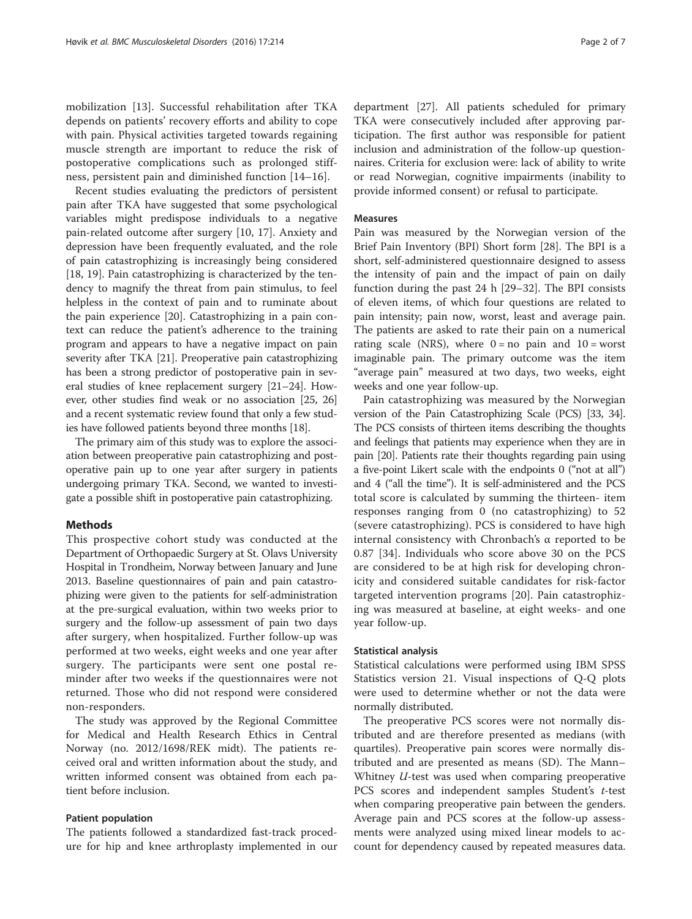mobilization [\[13](#page-5-0)]. Successful rehabilitation after TKA depends on patients' recovery efforts and ability to cope with pain. Physical activities targeted towards regaining muscle strength are important to reduce the risk of postoperative complications such as prolonged stiffness, persistent pain and diminished function [[14](#page-5-0)–[16\]](#page-5-0).

Recent studies evaluating the predictors of persistent pain after TKA have suggested that some psychological variables might predispose individuals to a negative pain-related outcome after surgery [[10](#page-5-0), [17\]](#page-5-0). Anxiety and depression have been frequently evaluated, and the role of pain catastrophizing is increasingly being considered [[18, 19\]](#page-5-0). Pain catastrophizing is characterized by the tendency to magnify the threat from pain stimulus, to feel helpless in the context of pain and to ruminate about the pain experience [[20](#page-5-0)]. Catastrophizing in a pain context can reduce the patient's adherence to the training program and appears to have a negative impact on pain severity after TKA [[21](#page-5-0)]. Preoperative pain catastrophizing has been a strong predictor of postoperative pain in several studies of knee replacement surgery [\[21](#page-5-0)–[24](#page-5-0)]. However, other studies find weak or no association [[25](#page-5-0), [26](#page-5-0)] and a recent systematic review found that only a few studies have followed patients beyond three months [\[18](#page-5-0)].

The primary aim of this study was to explore the association between preoperative pain catastrophizing and postoperative pain up to one year after surgery in patients undergoing primary TKA. Second, we wanted to investigate a possible shift in postoperative pain catastrophizing.

# **Methods**

This prospective cohort study was conducted at the Department of Orthopaedic Surgery at St. Olavs University Hospital in Trondheim, Norway between January and June 2013. Baseline questionnaires of pain and pain catastrophizing were given to the patients for self-administration at the pre-surgical evaluation, within two weeks prior to surgery and the follow-up assessment of pain two days after surgery, when hospitalized. Further follow-up was performed at two weeks, eight weeks and one year after surgery. The participants were sent one postal reminder after two weeks if the questionnaires were not returned. Those who did not respond were considered non-responders.

The study was approved by the Regional Committee for Medical and Health Research Ethics in Central Norway (no. 2012/1698/REK midt). The patients received oral and written information about the study, and written informed consent was obtained from each patient before inclusion.

### Patient population

The patients followed a standardized fast-track procedure for hip and knee arthroplasty implemented in our

department [[27\]](#page-5-0). All patients scheduled for primary TKA were consecutively included after approving participation. The first author was responsible for patient inclusion and administration of the follow-up questionnaires. Criteria for exclusion were: lack of ability to write or read Norwegian, cognitive impairments (inability to provide informed consent) or refusal to participate.

#### Measures

Pain was measured by the Norwegian version of the Brief Pain Inventory (BPI) Short form [\[28\]](#page-5-0). The BPI is a short, self-administered questionnaire designed to assess the intensity of pain and the impact of pain on daily function during the past 24 h [\[29](#page-5-0)–[32\]](#page-5-0). The BPI consists of eleven items, of which four questions are related to pain intensity; pain now, worst, least and average pain. The patients are asked to rate their pain on a numerical rating scale (NRS), where  $0 = no$  pain and  $10 = worst$ imaginable pain. The primary outcome was the item "average pain" measured at two days, two weeks, eight weeks and one year follow-up.

Pain catastrophizing was measured by the Norwegian version of the Pain Catastrophizing Scale (PCS) [\[33, 34](#page-5-0)]. The PCS consists of thirteen items describing the thoughts and feelings that patients may experience when they are in pain [[20](#page-5-0)]. Patients rate their thoughts regarding pain using a five-point Likert scale with the endpoints 0 ("not at all") and 4 ("all the time"). It is self-administered and the PCS total score is calculated by summing the thirteen- item responses ranging from 0 (no catastrophizing) to 52 (severe catastrophizing). PCS is considered to have high internal consistency with Chronbach's α reported to be 0.87 [\[34](#page-5-0)]. Individuals who score above 30 on the PCS are considered to be at high risk for developing chronicity and considered suitable candidates for risk-factor targeted intervention programs [\[20](#page-5-0)]. Pain catastrophizing was measured at baseline, at eight weeks- and one year follow-up.

#### Statistical analysis

Statistical calculations were performed using IBM SPSS Statistics version 21. Visual inspections of Q-Q plots were used to determine whether or not the data were normally distributed.

The preoperative PCS scores were not normally distributed and are therefore presented as medians (with quartiles). Preoperative pain scores were normally distributed and are presented as means (SD). The Mann– Whitney U-test was used when comparing preoperative PCS scores and independent samples Student's t-test when comparing preoperative pain between the genders. Average pain and PCS scores at the follow-up assessments were analyzed using mixed linear models to account for dependency caused by repeated measures data.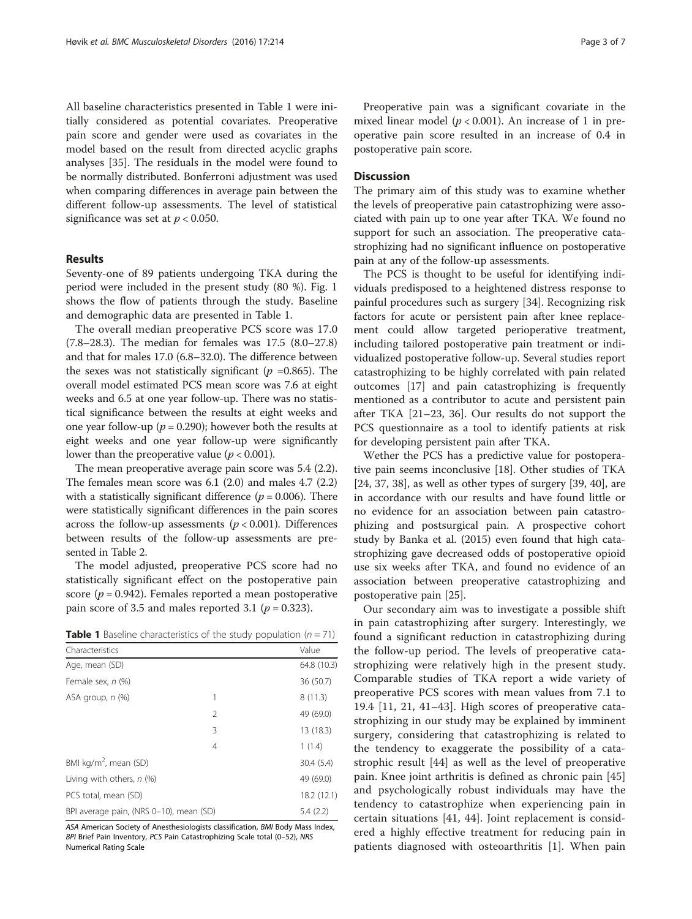All baseline characteristics presented in Table 1 were initially considered as potential covariates. Preoperative pain score and gender were used as covariates in the model based on the result from directed acyclic graphs analyses [[35](#page-5-0)]. The residuals in the model were found to be normally distributed. Bonferroni adjustment was used when comparing differences in average pain between the different follow-up assessments. The level of statistical significance was set at  $p < 0.050$ .

# Results

Seventy-one of 89 patients undergoing TKA during the period were included in the present study (80 %). Fig. [1](#page-3-0) shows the flow of patients through the study. Baseline and demographic data are presented in Table 1.

The overall median preoperative PCS score was 17.0 (7.8–28.3). The median for females was 17.5 (8.0–27.8) and that for males 17.0 (6.8–32.0). The difference between the sexes was not statistically significant ( $p = 0.865$ ). The overall model estimated PCS mean score was 7.6 at eight weeks and 6.5 at one year follow-up. There was no statistical significance between the results at eight weeks and one year follow-up ( $p = 0.290$ ); however both the results at eight weeks and one year follow-up were significantly lower than the preoperative value ( $p < 0.001$ ).

The mean preoperative average pain score was 5.4 (2.2). The females mean score was 6.1 (2.0) and males 4.7 (2.2) with a statistically significant difference ( $p = 0.006$ ). There were statistically significant differences in the pain scores across the follow-up assessments ( $p < 0.001$ ). Differences between results of the follow-up assessments are presented in Table [2.](#page-4-0)

The model adjusted, preoperative PCS score had no statistically significant effect on the postoperative pain score ( $p = 0.942$ ). Females reported a mean postoperative pain score of 3.5 and males reported 3.1 ( $p = 0.323$ ).

**Table 1** Baseline characteristics of the study population  $(n = 71)$ 

| Characteristics                         | Value       |
|-----------------------------------------|-------------|
| Age, mean (SD)                          | 64.8 (10.3) |
| Female sex, n (%)                       | 36 (50.7)   |
| ASA group, n (%)<br>1                   | 8(11.3)     |
| 2                                       | 49 (69.0)   |
| 3                                       | 13 (18.3)   |
| $\overline{4}$                          | 1(1.4)      |
| BMI kg/m <sup>2</sup> , mean (SD)       | 30.4(5.4)   |
| Living with others, $n$ (%)             | 49 (69.0)   |
| PCS total, mean (SD)                    | 18.2 (12.1) |
| BPI average pain, (NRS 0-10), mean (SD) | 5.4(2.2)    |

ASA American Society of Anesthesiologists classification, BMI Body Mass Index, BPI Brief Pain Inventory, PCS Pain Catastrophizing Scale total (0–52), NRS Numerical Rating Scale

Preoperative pain was a significant covariate in the mixed linear model ( $p < 0.001$ ). An increase of 1 in preoperative pain score resulted in an increase of 0.4 in postoperative pain score.

# **Discussion**

The primary aim of this study was to examine whether the levels of preoperative pain catastrophizing were associated with pain up to one year after TKA. We found no support for such an association. The preoperative catastrophizing had no significant influence on postoperative pain at any of the follow-up assessments.

The PCS is thought to be useful for identifying individuals predisposed to a heightened distress response to painful procedures such as surgery [\[34\]](#page-5-0). Recognizing risk factors for acute or persistent pain after knee replacement could allow targeted perioperative treatment, including tailored postoperative pain treatment or individualized postoperative follow-up. Several studies report catastrophizing to be highly correlated with pain related outcomes [\[17](#page-5-0)] and pain catastrophizing is frequently mentioned as a contributor to acute and persistent pain after TKA [[21](#page-5-0)–[23](#page-5-0), [36\]](#page-5-0). Our results do not support the PCS questionnaire as a tool to identify patients at risk for developing persistent pain after TKA.

Wether the PCS has a predictive value for postoperative pain seems inconclusive [[18\]](#page-5-0). Other studies of TKA  $[24, 37, 38]$  $[24, 37, 38]$ , as well as other types of surgery  $[39, 40]$ , are in accordance with our results and have found little or no evidence for an association between pain catastrophizing and postsurgical pain. A prospective cohort study by Banka et al. (2015) even found that high catastrophizing gave decreased odds of postoperative opioid use six weeks after TKA, and found no evidence of an association between preoperative catastrophizing and postoperative pain [\[25\]](#page-5-0).

Our secondary aim was to investigate a possible shift in pain catastrophizing after surgery. Interestingly, we found a significant reduction in catastrophizing during the follow-up period. The levels of preoperative catastrophizing were relatively high in the present study. Comparable studies of TKA report a wide variety of preoperative PCS scores with mean values from 7.1 to 19.4 [[11](#page-5-0), [21](#page-5-0), [41](#page-6-0)–[43](#page-6-0)]. High scores of preoperative catastrophizing in our study may be explained by imminent surgery, considering that catastrophizing is related to the tendency to exaggerate the possibility of a catastrophic result [[44](#page-6-0)] as well as the level of preoperative pain. Knee joint arthritis is defined as chronic pain [\[45](#page-6-0)] and psychologically robust individuals may have the tendency to catastrophize when experiencing pain in certain situations [\[41](#page-6-0), [44](#page-6-0)]. Joint replacement is considered a highly effective treatment for reducing pain in patients diagnosed with osteoarthritis [\[1](#page-5-0)]. When pain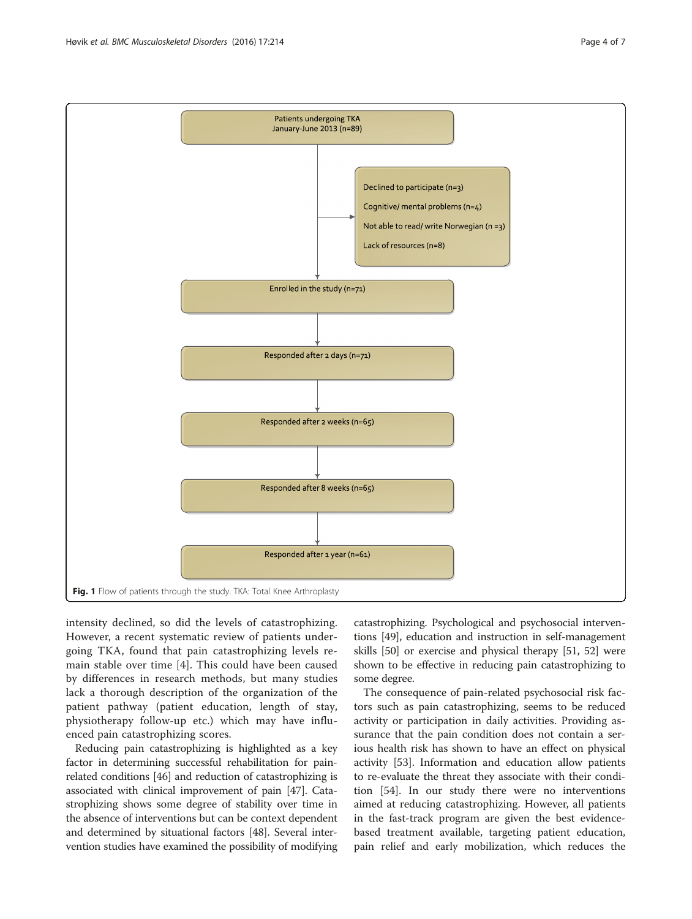<span id="page-3-0"></span>

intensity declined, so did the levels of catastrophizing. However, a recent systematic review of patients undergoing TKA, found that pain catastrophizing levels remain stable over time [[4](#page-5-0)]. This could have been caused by differences in research methods, but many studies lack a thorough description of the organization of the patient pathway (patient education, length of stay, physiotherapy follow-up etc.) which may have influenced pain catastrophizing scores.

Reducing pain catastrophizing is highlighted as a key factor in determining successful rehabilitation for painrelated conditions [[46](#page-6-0)] and reduction of catastrophizing is associated with clinical improvement of pain [[47](#page-6-0)]. Catastrophizing shows some degree of stability over time in the absence of interventions but can be context dependent and determined by situational factors [\[48\]](#page-6-0). Several intervention studies have examined the possibility of modifying catastrophizing. Psychological and psychosocial interventions [\[49\]](#page-6-0), education and instruction in self-management skills [\[50\]](#page-6-0) or exercise and physical therapy [\[51, 52\]](#page-6-0) were shown to be effective in reducing pain catastrophizing to some degree.

The consequence of pain-related psychosocial risk factors such as pain catastrophizing, seems to be reduced activity or participation in daily activities. Providing assurance that the pain condition does not contain a serious health risk has shown to have an effect on physical activity [[53\]](#page-6-0). Information and education allow patients to re-evaluate the threat they associate with their condition [\[54](#page-6-0)]. In our study there were no interventions aimed at reducing catastrophizing. However, all patients in the fast-track program are given the best evidencebased treatment available, targeting patient education, pain relief and early mobilization, which reduces the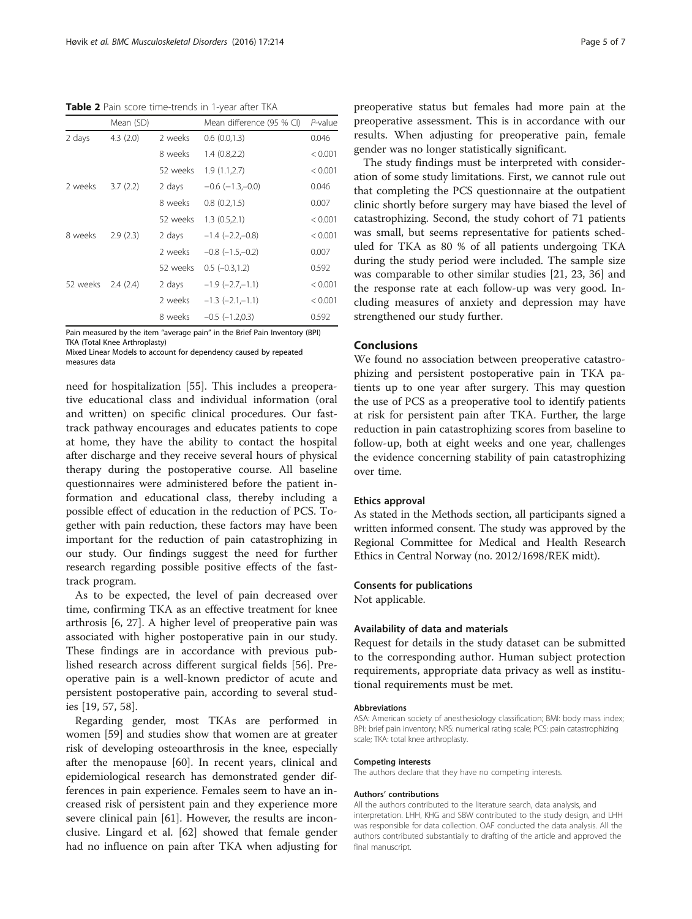<span id="page-4-0"></span>Table 2 Pain score time-trends in 1-year after TKA

|          | Mean (SD) |          | Mean difference (95 % CI)  | P-value |
|----------|-----------|----------|----------------------------|---------|
| 2 days   | 4.3(2.0)  | 2 weeks  | 0.6(0.0, 1.3)              | 0.046   |
|          |           | 8 weeks  | 1.4(0.8, 2.2)              | < 0.001 |
|          |           | 52 weeks | 1.9(1.1, 2.7)              | < 0.001 |
| 2 weeks  | 3.7(2.2)  | 2 days   | $-0.6$ ( $-1.3,-0.0$ )     | 0.046   |
|          |           | 8 weeks  | 0.8(0.2,1.5)               | 0.007   |
|          |           | 52 weeks | 1.3(0.5,2.1)               | < 0.001 |
| 8 weeks  | 2.9(2.3)  | 2 days   | $-1.4$ ( $-2.2,-0.8$ )     | < 0.001 |
|          |           | 2 weeks  | $-0.8$ ( $-1.5,-0.2$ )     | 0.007   |
|          |           | 52 weeks | $0.5$ ( $-0.3, 1.2$ )      | 0.592   |
| 52 weeks | 2.4(2.4)  | 2 days   | $-1.9$ ( $-2.7$ , $-1.1$ ) | < 0.001 |
|          |           | 2 weeks  | $-1.3$ $(-2.1,-1.1)$       | < 0.001 |
|          |           | 8 weeks  | $-0.5$ ( $-1.2.0.3$ )      | 0.592   |

Pain measured by the item "average pain" in the Brief Pain Inventory (BPI) TKA (Total Knee Arthroplasty)

Mixed Linear Models to account for dependency caused by repeated measures data

need for hospitalization [\[55\]](#page-6-0). This includes a preoperative educational class and individual information (oral and written) on specific clinical procedures. Our fasttrack pathway encourages and educates patients to cope at home, they have the ability to contact the hospital after discharge and they receive several hours of physical therapy during the postoperative course. All baseline questionnaires were administered before the patient information and educational class, thereby including a possible effect of education in the reduction of PCS. Together with pain reduction, these factors may have been important for the reduction of pain catastrophizing in our study. Our findings suggest the need for further research regarding possible positive effects of the fasttrack program.

As to be expected, the level of pain decreased over time, confirming TKA as an effective treatment for knee arthrosis [[6, 27\]](#page-5-0). A higher level of preoperative pain was associated with higher postoperative pain in our study. These findings are in accordance with previous published research across different surgical fields [\[56](#page-6-0)]. Preoperative pain is a well-known predictor of acute and persistent postoperative pain, according to several studies [[19](#page-5-0), [57](#page-6-0), [58](#page-6-0)].

Regarding gender, most TKAs are performed in women [\[59\]](#page-6-0) and studies show that women are at greater risk of developing osteoarthrosis in the knee, especially after the menopause [\[60](#page-6-0)]. In recent years, clinical and epidemiological research has demonstrated gender differences in pain experience. Females seem to have an increased risk of persistent pain and they experience more severe clinical pain [[61\]](#page-6-0). However, the results are inconclusive. Lingard et al. [[62\]](#page-6-0) showed that female gender had no influence on pain after TKA when adjusting for

preoperative status but females had more pain at the preoperative assessment. This is in accordance with our results. When adjusting for preoperative pain, female gender was no longer statistically significant.

The study findings must be interpreted with consideration of some study limitations. First, we cannot rule out that completing the PCS questionnaire at the outpatient clinic shortly before surgery may have biased the level of catastrophizing. Second, the study cohort of 71 patients was small, but seems representative for patients scheduled for TKA as 80 % of all patients undergoing TKA during the study period were included. The sample size was comparable to other similar studies [[21](#page-5-0), [23, 36\]](#page-5-0) and the response rate at each follow-up was very good. Including measures of anxiety and depression may have strengthened our study further.

# Conclusions

We found no association between preoperative catastrophizing and persistent postoperative pain in TKA patients up to one year after surgery. This may question the use of PCS as a preoperative tool to identify patients at risk for persistent pain after TKA. Further, the large reduction in pain catastrophizing scores from baseline to follow-up, both at eight weeks and one year, challenges the evidence concerning stability of pain catastrophizing over time.

# Ethics approval

As stated in the Methods section, all participants signed a written informed consent. The study was approved by the Regional Committee for Medical and Health Research Ethics in Central Norway (no. 2012/1698/REK midt).

#### Consents for publications

Not applicable.

#### Availability of data and materials

Request for details in the study dataset can be submitted to the corresponding author. Human subject protection requirements, appropriate data privacy as well as institutional requirements must be met.

#### Abbreviations

ASA: American society of anesthesiology classification; BMI: body mass index; BPI: brief pain inventory; NRS: numerical rating scale; PCS: pain catastrophizing scale; TKA: total knee arthroplasty.

#### Competing interests

The authors declare that they have no competing interests.

#### Authors' contributions

All the authors contributed to the literature search, data analysis, and interpretation. LHH, KHG and SBW contributed to the study design, and LHH was responsible for data collection. OAF conducted the data analysis. All the authors contributed substantially to drafting of the article and approved the final manuscript.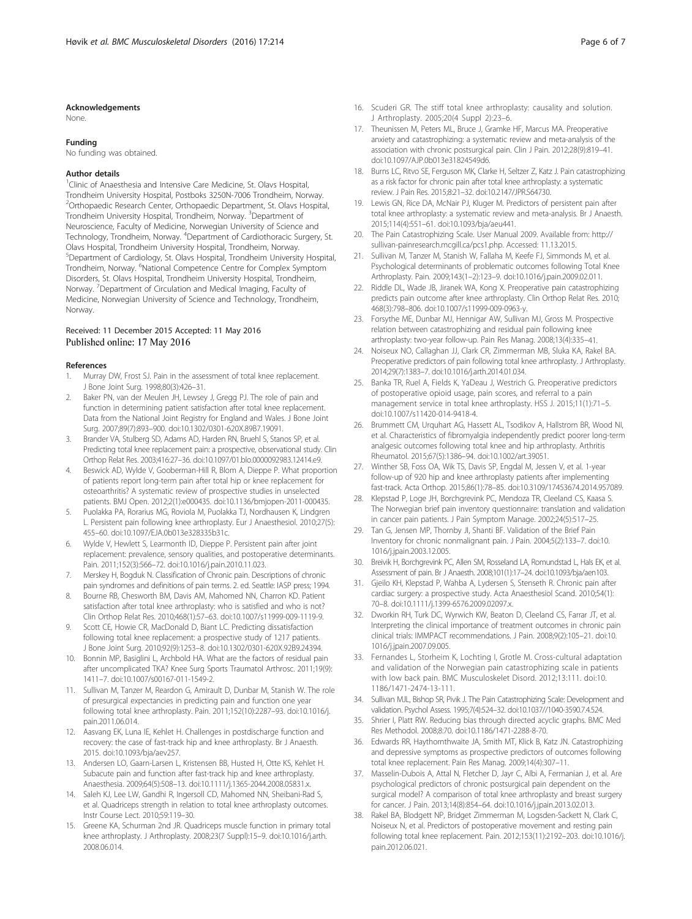#### <span id="page-5-0"></span>Acknowledgements

None.

### Funding

No funding was obtained.

#### Author details

<sup>1</sup>Clinic of Anaesthesia and Intensive Care Medicine, St. Olavs Hospital, Trondheim University Hospital, Postboks 3250N-7006 Trondheim, Norway. 2 Orthopaedic Research Center, Orthopaedic Department, St. Olavs Hospital, Trondheim University Hospital, Trondheim, Norway. <sup>3</sup>Department of Neuroscience, Faculty of Medicine, Norwegian University of Science and Technology, Trondheim, Norway. <sup>4</sup>Department of Cardiothoracic Surgery, St. Olavs Hospital, Trondheim University Hospital, Trondheim, Norway. 5 Department of Cardiology, St. Olavs Hospital, Trondheim University Hospital, Trondheim, Norway. <sup>6</sup>National Competence Centre for Complex Symptom Disorders, St. Olavs Hospital, Trondheim University Hospital, Trondheim, Norway. <sup>7</sup> Department of Circulation and Medical Imaging, Faculty of Medicine, Norwegian University of Science and Technology, Trondheim, **Norway** 

## Received: 11 December 2015 Accepted: 11 May 2016 Published online: 17 May 2016

#### References

- Murray DW, Frost SJ. Pain in the assessment of total knee replacement. J Bone Joint Surg. 1998;80(3):426–31.
- Baker PN, van der Meulen JH, Lewsey J, Gregg PJ. The role of pain and function in determining patient satisfaction after total knee replacement. Data from the National Joint Registry for England and Wales. J Bone Joint Surg. 2007;89(7):893–900. doi:[10.1302/0301-620X.89B7.19091.](http://dx.doi.org/10.1302/0301-620X.89B7.19091)
- 3. Brander VA, Stulberg SD, Adams AD, Harden RN, Bruehl S, Stanos SP, et al. Predicting total knee replacement pain: a prospective, observational study. Clin Orthop Relat Res. 2003;416:27–36. doi[:10.1097/01.blo.0000092983.12414.e9](http://dx.doi.org/10.1097/01.blo.0000092983.12414.e9).
- 4. Beswick AD, Wylde V, Gooberman-Hill R, Blom A, Dieppe P. What proportion of patients report long-term pain after total hip or knee replacement for osteoarthritis? A systematic review of prospective studies in unselected patients. BMJ Open. 2012;2(1):e000435. doi:[10.1136/bmjopen-2011-000435.](http://dx.doi.org/10.1136/bmjopen-2011-000435)
- 5. Puolakka PA, Rorarius MG, Roviola M, Puolakka TJ, Nordhausen K, Lindgren L. Persistent pain following knee arthroplasty. Eur J Anaesthesiol. 2010;27(5): 455–60. doi:[10.1097/EJA.0b013e328335b31c](http://dx.doi.org/10.1097/EJA.0b013e328335b31c).
- 6. Wylde V, Hewlett S, Learmonth ID, Dieppe P. Persistent pain after joint replacement: prevalence, sensory qualities, and postoperative determinants. Pain. 2011;152(3):566–72. doi:[10.1016/j.pain.2010.11.023.](http://dx.doi.org/10.1016/j.pain.2010.11.023)
- 7. Merskey H, Bogduk N. Classification of Chronic pain. Descriptions of chronic pain syndromes and definitions of pain terms. 2. ed. Seattle: IASP press; 1994.
- 8. Bourne RB, Chesworth BM, Davis AM, Mahomed NN, Charron KD. Patient satisfaction after total knee arthroplasty: who is satisfied and who is not? Clin Orthop Relat Res. 2010;468(1):57–63. doi[:10.1007/s11999-009-1119-9.](http://dx.doi.org/10.1007/s11999-009-1119-9)
- 9. Scott CE, Howie CR, MacDonald D, Biant LC. Predicting dissatisfaction following total knee replacement: a prospective study of 1217 patients. J Bone Joint Surg. 2010;92(9):1253–8. doi[:10.1302/0301-620X.92B9.24394](http://dx.doi.org/10.1302/0301-620X.92B9.24394).
- 10. Bonnin MP, Basiglini L, Archbold HA. What are the factors of residual pain after uncomplicated TKA? Knee Surg Sports Traumatol Arthrosc. 2011;19(9): 1411–7. doi:[10.1007/s00167-011-1549-2](http://dx.doi.org/10.1007/s00167-011-1549-2).
- 11. Sullivan M, Tanzer M, Reardon G, Amirault D, Dunbar M, Stanish W. The role of presurgical expectancies in predicting pain and function one year following total knee arthroplasty. Pain. 2011;152(10):2287–93. doi:[10.1016/j.](http://dx.doi.org/10.1016/j.pain.2011.06.014) [pain.2011.06.014](http://dx.doi.org/10.1016/j.pain.2011.06.014).
- 12. Aasvang EK, Luna IE, Kehlet H. Challenges in postdischarge function and recovery: the case of fast-track hip and knee arthroplasty. Br J Anaesth. 2015. doi:[10.1093/bja/aev257](http://dx.doi.org/10.1093/bja/aev257).
- 13. Andersen LO, Gaarn-Larsen L, Kristensen BB, Husted H, Otte KS, Kehlet H. Subacute pain and function after fast-track hip and knee arthroplasty. Anaesthesia. 2009;64(5):508–13. doi[:10.1111/j.1365-2044.2008.05831.x](http://dx.doi.org/10.1111/j.1365-2044.2008.05831.x).
- 14. Saleh KJ, Lee LW, Gandhi R, Ingersoll CD, Mahomed NN, Sheibani-Rad S, et al. Quadriceps strength in relation to total knee arthroplasty outcomes. Instr Course Lect. 2010;59:119–30.
- 15. Greene KA, Schurman 2nd JR. Quadriceps muscle function in primary total knee arthroplasty. J Arthroplasty. 2008;23(7 Suppl):15–9. doi[:10.1016/j.arth.](http://dx.doi.org/10.1016/j.arth.2008.06.014) [2008.06.014.](http://dx.doi.org/10.1016/j.arth.2008.06.014)
- 
- 16. Scuderi GR. The stiff total knee arthroplasty: causality and solution. J Arthroplasty. 2005;20(4 Suppl 2):23–6.
- 17. Theunissen M, Peters ML, Bruce J, Gramke HF, Marcus MA. Preoperative anxiety and catastrophizing: a systematic review and meta-analysis of the association with chronic postsurgical pain. Clin J Pain. 2012;28(9):819–41. doi[:10.1097/AJP.0b013e31824549d6.](http://dx.doi.org/10.1097/AJP.0b013e31824549d6)
- 18. Burns LC, Ritvo SE, Ferguson MK, Clarke H, Seltzer Z, Katz J. Pain catastrophizing as a risk factor for chronic pain after total knee arthroplasty: a systematic review. J Pain Res. 2015;8:21–32. doi:[10.2147/JPR.S64730](http://dx.doi.org/10.2147/JPR.S64730).
- 19. Lewis GN, Rice DA, McNair PJ, Kluger M. Predictors of persistent pain after total knee arthroplasty: a systematic review and meta-analysis. Br J Anaesth. 2015;114(4):551–61. doi[:10.1093/bja/aeu441.](http://dx.doi.org/10.1093/bja/aeu441)
- 20. The Pain Catastrophizing Scale. User Manual 2009. Available from: [http://](http://sullivan-painresearch.mcgill.ca/pcs1.php) [sullivan-painresearch.mcgill.ca/pcs1.php.](http://sullivan-painresearch.mcgill.ca/pcs1.php) Accessed: 11.13.2015.
- 21. Sullivan M, Tanzer M, Stanish W, Fallaha M, Keefe FJ, Simmonds M, et al. Psychological determinants of problematic outcomes following Total Knee Arthroplasty. Pain. 2009;143(1–2):123–9. doi[:10.1016/j.pain.2009.02.011](http://dx.doi.org/10.1016/j.pain.2009.02.011).
- 22. Riddle DL, Wade JB, Jiranek WA, Kong X. Preoperative pain catastrophizing predicts pain outcome after knee arthroplasty. Clin Orthop Relat Res. 2010; 468(3):798–806. doi:[10.1007/s11999-009-0963-y.](http://dx.doi.org/10.1007/s11999-009-0963-y)
- 23. Forsythe ME, Dunbar MJ, Hennigar AW, Sullivan MJ, Gross M. Prospective relation between catastrophizing and residual pain following knee arthroplasty: two-year follow-up. Pain Res Manag. 2008;13(4):335–41.
- 24. Noiseux NO, Callaghan JJ, Clark CR, Zimmerman MB, Sluka KA, Rakel BA. Preoperative predictors of pain following total knee arthroplasty. J Arthroplasty. 2014;29(7):1383–7. doi:[10.1016/j.arth.2014.01.034.](http://dx.doi.org/10.1016/j.arth.2014.01.034)
- 25. Banka TR, Ruel A, Fields K, YaDeau J, Westrich G. Preoperative predictors of postoperative opioid usage, pain scores, and referral to a pain management service in total knee arthroplasty. HSS J. 2015;11(1):71–5. doi[:10.1007/s11420-014-9418-4.](http://dx.doi.org/10.1007/s11420-014-9418-4)
- 26. Brummett CM, Urquhart AG, Hassett AL, Tsodikov A, Hallstrom BR, Wood NI, et al. Characteristics of fibromyalgia independently predict poorer long-term analgesic outcomes following total knee and hip arthroplasty. Arthritis Rheumatol. 2015;67(5):1386–94. doi:[10.1002/art.39051](http://dx.doi.org/10.1002/art.39051).
- 27. Winther SB, Foss OA, Wik TS, Davis SP, Engdal M, Jessen V, et al. 1-year follow-up of 920 hip and knee arthroplasty patients after implementing fast-track. Acta Orthop. 2015;86(1):78–85. doi:[10.3109/17453674.2014.957089.](http://dx.doi.org/10.3109/17453674.2014.957089)
- 28. Klepstad P, Loge JH, Borchgrevink PC, Mendoza TR, Cleeland CS, Kaasa S. The Norwegian brief pain inventory questionnaire: translation and validation in cancer pain patients. J Pain Symptom Manage. 2002;24(5):517–25.
- 29. Tan G, Jensen MP, Thornby JI, Shanti BF. Validation of the Brief Pain Inventory for chronic nonmalignant pain. J Pain. 2004;5(2):133–7. doi:[10.](http://dx.doi.org/10.1016/j.jpain.2003.12.005) [1016/j.jpain.2003.12.005.](http://dx.doi.org/10.1016/j.jpain.2003.12.005)
- 30. Breivik H, Borchgrevink PC, Allen SM, Rosseland LA, Romundstad L, Hals EK, et al. Assessment of pain. Br J Anaesth. 2008;101(1):17–24. doi[:10.1093/bja/aen103.](http://dx.doi.org/10.1093/bja/aen103)
- 31. Gjeilo KH, Klepstad P, Wahba A, Lydersen S, Stenseth R. Chronic pain after cardiac surgery: a prospective study. Acta Anaesthesiol Scand. 2010;54(1): 70–8. doi[:10.1111/j.1399-6576.2009.02097.x.](http://dx.doi.org/10.1111/j.1399-6576.2009.02097.x)
- 32. Dworkin RH, Turk DC, Wyrwich KW, Beaton D, Cleeland CS, Farrar JT, et al. Interpreting the clinical importance of treatment outcomes in chronic pain clinical trials: IMMPACT recommendations. J Pain. 2008;9(2):105–21. doi:[10.](http://dx.doi.org/10.1016/j.jpain.2007.09.005) [1016/j.jpain.2007.09.005.](http://dx.doi.org/10.1016/j.jpain.2007.09.005)
- 33. Fernandes L, Storheim K, Lochting I, Grotle M. Cross-cultural adaptation and validation of the Norwegian pain catastrophizing scale in patients with low back pain. BMC Musculoskelet Disord. 2012;13:111. doi:[10.](http://dx.doi.org/10.1186/1471-2474-13-111) [1186/1471-2474-13-111](http://dx.doi.org/10.1186/1471-2474-13-111).
- 34. Sullivan MJL, Bishop SR, Pivik J. The Pain Catastrophizing Scale: Development and validation. Psychol Assess. 1995;7(4):524–32. doi:[10.1037//1040-3590.7.4.524](http://dx.doi.org/10.1037//1040-3590.7.4.524).
- 35. Shrier I, Platt RW. Reducing bias through directed acyclic graphs. BMC Med Res Methodol. 2008;8:70. doi[:10.1186/1471-2288-8-70](http://dx.doi.org/10.1186/1471-2288-8-70).
- 36. Edwards RR, Haythornthwaite JA, Smith MT, Klick B, Katz JN. Catastrophizing and depressive symptoms as prospective predictors of outcomes following total knee replacement. Pain Res Manag. 2009;14(4):307–11.
- 37. Masselin-Dubois A, Attal N, Fletcher D, Jayr C, Albi A, Fermanian J, et al. Are psychological predictors of chronic postsurgical pain dependent on the surgical model? A comparison of total knee arthroplasty and breast surgery for cancer. J Pain. 2013;14(8):854–64. doi:[10.1016/j.jpain.2013.02.013.](http://dx.doi.org/10.1016/j.jpain.2013.02.013)
- 38. Rakel BA, Blodgett NP, Bridget Zimmerman M, Logsden-Sackett N, Clark C, Noiseux N, et al. Predictors of postoperative movement and resting pain following total knee replacement. Pain. 2012;153(11):2192–203. doi[:10.1016/j.](http://dx.doi.org/10.1016/j.pain.2012.06.021) [pain.2012.06.021](http://dx.doi.org/10.1016/j.pain.2012.06.021).